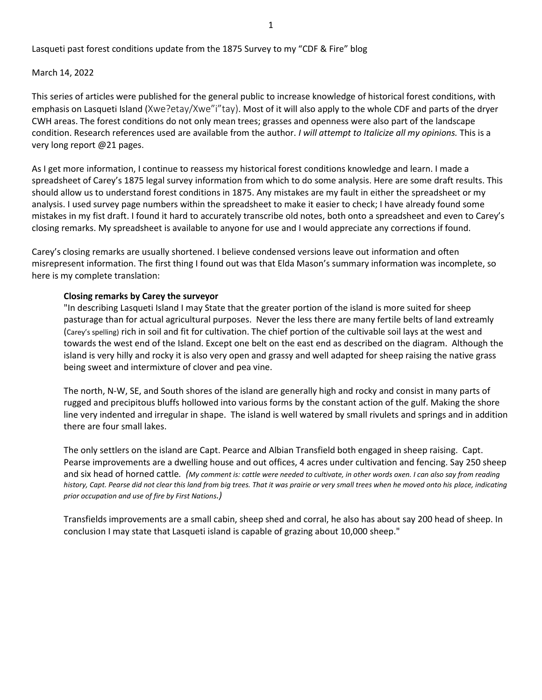Lasqueti past forest conditions update from the 1875 Survey to my "CDF & Fire" blog

March 14, 2022

This series of articles were published for the general public to increase knowledge of historical forest conditions, with emphasis on Lasqueti Island (Xwe?etay/Xwe"i"tay). Most of it will also apply to the whole CDF and parts of the dryer CWH areas. The forest conditions do not only mean trees; grasses and openness were also part of the landscape condition. Research references used are available from the author. *I will attempt to Italicize all my opinions.* This is a very long report @21 pages.

As I get more information, I continue to reassess my historical forest conditions knowledge and learn. I made a spreadsheet of Carey's 1875 legal survey information from which to do some analysis. Here are some draft results. This should allow us to understand forest conditions in 1875. Any mistakes are my fault in either the spreadsheet or my analysis. I used survey page numbers within the spreadsheet to make it easier to check; I have already found some mistakes in my fist draft. I found it hard to accurately transcribe old notes, both onto a spreadsheet and even to Carey's closing remarks. My spreadsheet is available to anyone for use and I would appreciate any corrections if found.

Carey's closing remarks are usually shortened. I believe condensed versions leave out information and often misrepresent information. The first thing I found out was that Elda Mason's summary information was incomplete, so here is my complete translation:

## **Closing remarks by Carey the surveyor**

"In describing Lasqueti Island I may State that the greater portion of the island is more suited for sheep pasturage than for actual agricultural purposes. Never the less there are many fertile belts of land extreamly (Carey's spelling) rich in soil and fit for cultivation. The chief portion of the cultivable soil lays at the west and towards the west end of the Island. Except one belt on the east end as described on the diagram. Although the island is very hilly and rocky it is also very open and grassy and well adapted for sheep raising the native grass being sweet and intermixture of clover and pea vine.

The north, N-W, SE, and South shores of the island are generally high and rocky and consist in many parts of rugged and precipitous bluffs hollowed into various forms by the constant action of the gulf. Making the shore line very indented and irregular in shape. The island is well watered by small rivulets and springs and in addition there are four small lakes.

The only settlers on the island are Capt. Pearce and Albian Transfield both engaged in sheep raising. Capt. Pearse improvements are a dwelling house and out offices, 4 acres under cultivation and fencing. Say 250 sheep and six head of horned cattle*. (My comment is: cattle were needed to cultivate, in other words oxen. I can also say from reading history, Capt. Pearse did not clear this land from big trees. That it was prairie or very small trees when he moved onto his place, indicating prior occupation and use of fire by First Nations.)* 

Transfields improvements are a small cabin, sheep shed and corral, he also has about say 200 head of sheep. In conclusion I may state that Lasqueti island is capable of grazing about 10,000 sheep."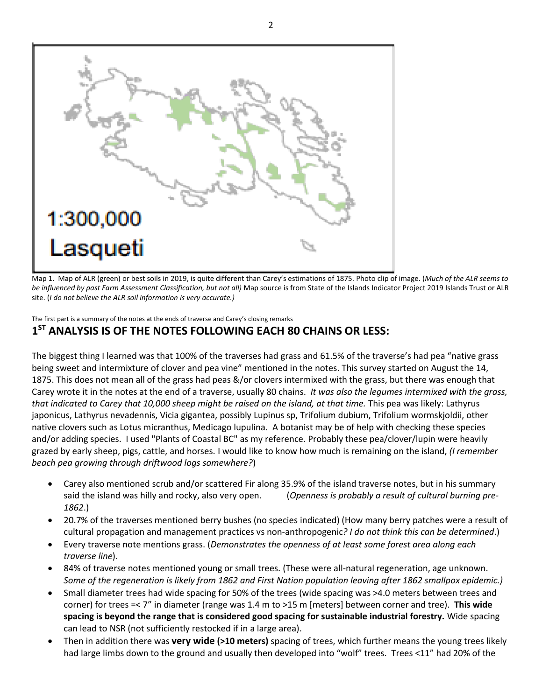

Map 1. Map of ALR (green) or best soils in 2019, is quite different than Carey's estimations of 1875. Photo clip of image. (*Much of the ALR seems to be influenced by past Farm Assessment Classification, but not all)* Map source is from State of the Islands Indicator Project 2019 Islands Trust or ALR site. (*I do not believe the ALR soil information is very accurate.)*

The first part is a summary of the notes at the ends of traverse and Carey's closing remarks **1 ST ANALYSIS IS OF THE NOTES FOLLOWING EACH 80 CHAINS OR LESS:**

The biggest thing I learned was that 100% of the traverses had grass and 61.5% of the traverse's had pea "native grass being sweet and intermixture of clover and pea vine" mentioned in the notes. This survey started on August the 14, 1875. This does not mean all of the grass had peas &/or clovers intermixed with the grass, but there was enough that Carey wrote it in the notes at the end of a traverse, usually 80 chains. *It was also the legumes intermixed with the grass, that indicated to Carey that 10,000 sheep might be raised on the island, at that time.* This pea was likely: Lathyrus japonicus, Lathyrus nevadennis, Vicia gigantea, possibly Lupinus sp, Trifolium dubium, Trifolium wormskjoldii, other native clovers such as Lotus micranthus, Medicago lupulina. A botanist may be of help with checking these species and/or adding species. I used "Plants of Coastal BC" as my reference. Probably these pea/clover/lupin were heavily grazed by early sheep, pigs, cattle, and horses. I would like to know how much is remaining on the island, *(I remember beach pea growing through driftwood logs somewhere?*)

- Carey also mentioned scrub and/or scattered Fir along 35.9% of the island traverse notes, but in his summary said the island was hilly and rocky, also very open. (*Openness is probably a result of cultural burning pre-1862*.)
- 20.7% of the traverses mentioned berry bushes (no species indicated) (How many berry patches were a result of cultural propagation and management practices vs non-anthropogenic*? I do not think this can be determined*.)
- Every traverse note mentions grass. (*Demonstrates the openness of at least some forest area along each traverse line*).
- 84% of traverse notes mentioned young or small trees. (These were all-natural regeneration, age unknown. *Some of the regeneration is likely from 1862 and First Nation population leaving after 1862 smallpox epidemic.)*
- Small diameter trees had wide spacing for 50% of the trees (wide spacing was >4.0 meters between trees and corner) for trees =< 7" in diameter (range was 1.4 m to >15 m [meters] between corner and tree). **This wide spacing is beyond the range that is considered good spacing for sustainable industrial forestry.** Wide spacing can lead to NSR (not sufficiently restocked if in a large area).
- Then in addition there was **very wide (>10 meters)** spacing of trees, which further means the young trees likely had large limbs down to the ground and usually then developed into "wolf" trees. Trees <11" had 20% of the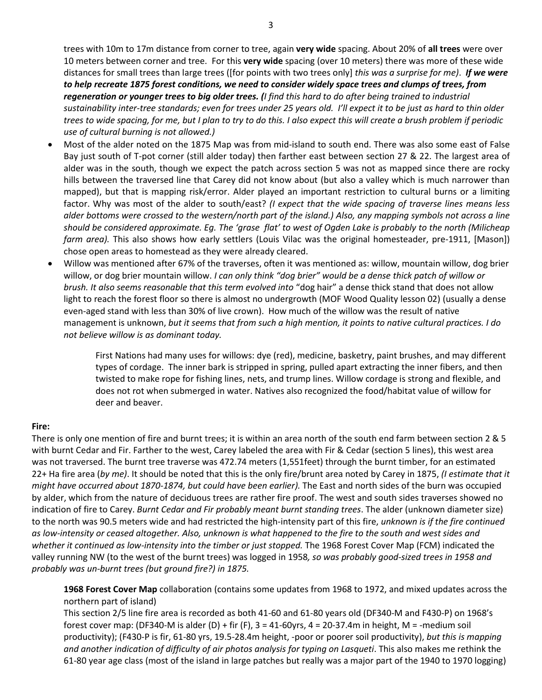trees with 10m to 17m distance from corner to tree, again **very wide** spacing. About 20% of **all trees** were over 10 meters between corner and tree. For this **very wide** spacing (over 10 meters) there was more of these wide distances for small trees than large trees ([for points with two trees only] *this was a surprise for me)*. *If we were to help recreate 1875 forest conditions, we need to consider widely space trees and clumps of trees, from regeneration or younger trees to big older trees. (I find this hard to do after being trained to industrial sustainability inter-tree standards; even for trees under 25 years old. I'll expect it to be just as hard to thin older trees to wide spacing, for me, but I plan to try to do this. I also expect this will create a brush problem if periodic use of cultural burning is not allowed.)*

- Most of the alder noted on the 1875 Map was from mid-island to south end. There was also some east of False Bay just south of T-pot corner (still alder today) then farther east between section 27 & 22. The largest area of alder was in the south, though we expect the patch across section 5 was not as mapped since there are rocky hills between the traversed line that Carey did not know about (but also a valley which is much narrower than mapped), but that is mapping risk/error. Alder played an important restriction to cultural burns or a limiting factor. Why was most of the alder to south/east? *(I expect that the wide spacing of traverse lines means less alder bottoms were crossed to the western/north part of the island.) Also, any mapping symbols not across a line should be considered approximate. Eg. The 'grase flat' to west of Ogden Lake is probably to the north (Milicheap farm area).* This also shows how early settlers (Louis Vilac was the original homesteader, pre-1911, [Mason]) chose open areas to homestead as they were already cleared.
- Willow was mentioned after 67% of the traverses, often it was mentioned as: willow, mountain willow, dog brier willow, or dog brier mountain willow. *I can only think "dog brier" would be a dense thick patch of willow or brush. It also seems reasonable that this term evolved into* "dog hair" a dense thick stand that does not allow light to reach the forest floor so there is almost no undergrowth (MOF Wood Quality lesson 02) (usually a dense even-aged stand with less than 30% of live crown). How much of the willow was the result of native management is unknown, *but it seems that from such a high mention, it points to native cultural practices. I do not believe willow is as dominant today.*

First Nations had many uses for willows: dye (red), medicine, basketry, paint brushes, and may different types of cordage. The inner bark is stripped in spring, pulled apart extracting the inner fibers, and then twisted to make rope for fishing lines, nets, and trump lines. Willow cordage is strong and flexible, and does not rot when submerged in water. Natives also recognized the food/habitat value of willow for deer and beaver.

## **Fire:**

There is only one mention of fire and burnt trees; it is within an area north of the south end farm between section 2 & 5 with burnt Cedar and Fir. Farther to the west, Carey labeled the area with Fir & Cedar (section 5 lines), this west area was not traversed. The burnt tree traverse was 472.74 meters (1,551feet) through the burnt timber, for an estimated 22+ Ha fire area (*by me)*. It should be noted that this is the only fire/brunt area noted by Carey in 1875, *(I estimate that it might have occurred about 1870-1874, but could have been earlier).* The East and north sides of the burn was occupied by alder, which from the nature of deciduous trees are rather fire proof. The west and south sides traverses showed no indication of fire to Carey. *Burnt Cedar and Fir probably meant burnt standing trees*. The alder (unknown diameter size) to the north was 90.5 meters wide and had restricted the high-intensity part of this fire, *unknown is if the fire continued as low-intensity or ceased altogether. Also, unknown is what happened to the fire to the south and west sides and whether it continued as low-intensity into the timber or just stopped.* The 1968 Forest Cover Map (FCM) indicated the valley running NW (to the west of the burnt trees) was logged in 1958*, so was probably good-sized trees in 1958 and probably was un-burnt trees (but ground fire?) in 1875.*

**1968 Forest Cover Map** collaboration (contains some updates from 1968 to 1972, and mixed updates across the northern part of island)

This section 2/5 line fire area is recorded as both 41-60 and 61-80 years old (DF340-M and F430-P) on 1968's forest cover map: (DF340-M is alder (D) + fir (F),  $3 = 41-60y$ rs,  $4 = 20-37.4$ m in height, M = -medium soil productivity); (F430-P is fir, 61-80 yrs, 19.5-28.4m height, -poor or poorer soil productivity), *but this is mapping and another indication of difficulty of air photos analysis for typing on Lasqueti*. This also makes me rethink the 61-80 year age class (most of the island in large patches but really was a major part of the 1940 to 1970 logging)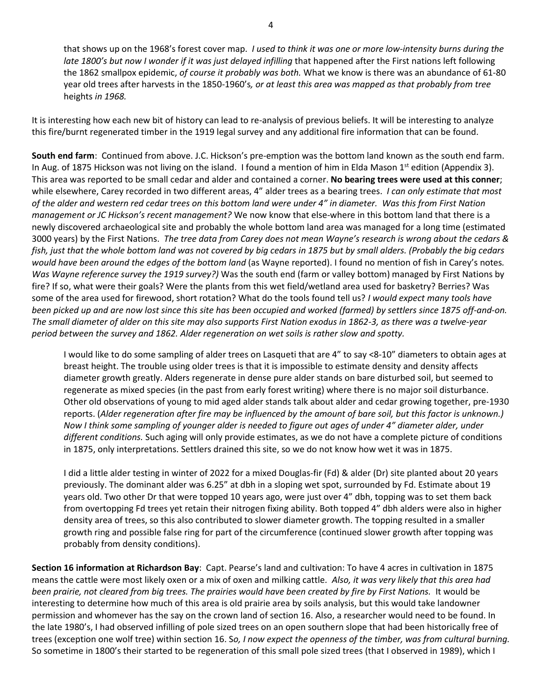that shows up on the 1968's forest cover map. *I used to think it was one or more low-intensity burns during the late 1800's but now I wonder if it was just delayed infilling* that happened after the First nations left following the 1862 smallpox epidemic, *of course it probably was both.* What we know is there was an abundance of 61-80 year old trees after harvests in the 1850-1960's*, or at least this area was mapped as that probably from tree*  heights *in 1968.*

It is interesting how each new bit of history can lead to re-analysis of previous beliefs. It will be interesting to analyze this fire/burnt regenerated timber in the 1919 legal survey and any additional fire information that can be found.

**South end farm**: Continued from above. J.C. Hickson's pre-emption was the bottom land known as the south end farm. In Aug. of 1875 Hickson was not living on the island. I found a mention of him in Elda Mason 1<sup>st</sup> edition (Appendix 3). This area was reported to be small cedar and alder and contained a corner. **No bearing trees were used at this conner**; while elsewhere, Carey recorded in two different areas, 4" alder trees as a bearing trees. *I can only estimate that most of the alder and western red cedar trees on this bottom land were under 4" in diameter. Was this from First Nation management or JC Hickson's recent management?* We now know that else-where in this bottom land that there is a newly discovered archaeological site and probably the whole bottom land area was managed for a long time (estimated 3000 years) by the First Nations. *The tree data from Carey does not mean Wayne's research is wrong about the cedars & fish, just that the whole bottom land was not covered by big cedars in 1875 but by small alders. (Probably the big cedars would have been around the edges of the bottom land* (as Wayne reported). I found no mention of fish in Carey's notes*. Was Wayne reference survey the 1919 survey?)* Was the south end (farm or valley bottom) managed by First Nations by fire? If so, what were their goals? Were the plants from this wet field/wetland area used for basketry? Berries? Was some of the area used for firewood, short rotation? What do the tools found tell us? *I would expect many tools have been picked up and are now lost since this site has been occupied and worked (farmed) by settlers since 1875 off-and-on. The small diameter of alder on this site may also supports First Nation exodus in 1862-3, as there was a twelve-year period between the survey and 1862. Alder regeneration on wet soils is rather slow and spotty.* 

I would like to do some sampling of alder trees on Lasqueti that are 4" to say <8-10" diameters to obtain ages at breast height. The trouble using older trees is that it is impossible to estimate density and density affects diameter growth greatly. Alders regenerate in dense pure alder stands on bare disturbed soil, but seemed to regenerate as mixed species (in the past from early forest writing) where there is no major soil disturbance. Other old observations of young to mid aged alder stands talk about alder and cedar growing together, pre-1930 reports. (*Alder regeneration after fire may be influenced by the amount of bare soil, but this factor is unknown.) Now I think some sampling of younger alder is needed to figure out ages of under 4" diameter alder, under different conditions.* Such aging will only provide estimates, as we do not have a complete picture of conditions in 1875, only interpretations. Settlers drained this site, so we do not know how wet it was in 1875.

I did a little alder testing in winter of 2022 for a mixed Douglas-fir (Fd) & alder (Dr) site planted about 20 years previously. The dominant alder was 6.25" at dbh in a sloping wet spot, surrounded by Fd. Estimate about 19 years old. Two other Dr that were topped 10 years ago, were just over 4" dbh, topping was to set them back from overtopping Fd trees yet retain their nitrogen fixing ability. Both topped 4" dbh alders were also in higher density area of trees, so this also contributed to slower diameter growth. The topping resulted in a smaller growth ring and possible false ring for part of the circumference (continued slower growth after topping was probably from density conditions).

**Section 16 information at Richardson Bay**: Capt. Pearse's land and cultivation: To have 4 acres in cultivation in 1875 means the cattle were most likely oxen or a mix of oxen and milking cattle*. Also, it was very likely that this area had been prairie, not cleared from big trees. The prairies would have been created by fire by First Nations.* It would be interesting to determine how much of this area is old prairie area by soils analysis, but this would take landowner permission and whomever has the say on the crown land of section 16. Also, a researcher would need to be found. In the late 1980's, I had observed infilling of pole sized trees on an open southern slope that had been historically free of trees (exception one wolf tree) within section 16. S*o, I now expect the openness of the timber, was from cultural burning.* So sometime in 1800's their started to be regeneration of this small pole sized trees (that I observed in 1989), which I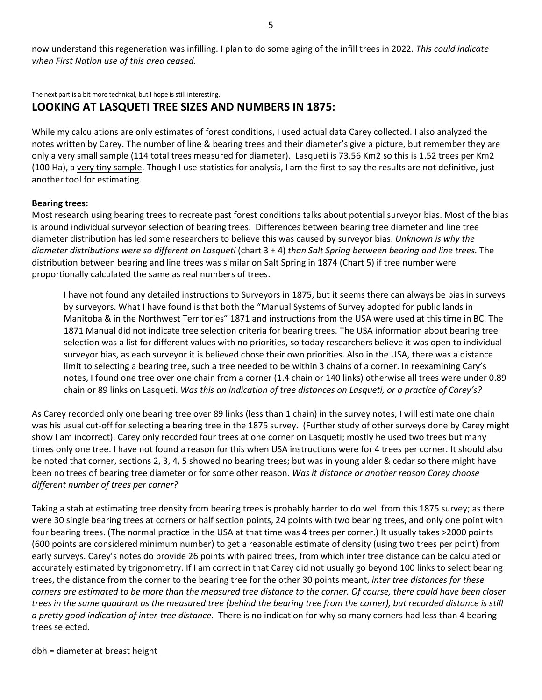now understand this regeneration was infilling. I plan to do some aging of the infill trees in 2022. *This could indicate when First Nation use of this area ceased.*

The next part is a bit more technical, but I hope is still interesting.

## **LOOKING AT LASQUETI TREE SIZES AND NUMBERS IN 1875:**

While my calculations are only estimates of forest conditions, I used actual data Carey collected. I also analyzed the notes written by Carey. The number of line & bearing trees and their diameter's give a picture, but remember they are only a very small sample (114 total trees measured for diameter). Lasqueti is 73.56 Km2 so this is 1.52 trees per Km2 (100 Ha), a very tiny sample. Though I use statistics for analysis, I am the first to say the results are not definitive, just another tool for estimating.

#### **Bearing trees:**

Most research using bearing trees to recreate past forest conditions talks about potential surveyor bias. Most of the bias is around individual surveyor selection of bearing trees. Differences between bearing tree diameter and line tree diameter distribution has led some researchers to believe this was caused by surveyor bias. *Unknown is why the diameter distributions were so different on Lasqueti* (chart 3 + 4) *than Salt Spring between bearing and line trees.* The distribution between bearing and line trees was similar on Salt Spring in 1874 (Chart 5) if tree number were proportionally calculated the same as real numbers of trees.

I have not found any detailed instructions to Surveyors in 1875, but it seems there can always be bias in surveys by surveyors. What I have found is that both the "Manual Systems of Survey adopted for public lands in Manitoba & in the Northwest Territories" 1871 and instructions from the USA were used at this time in BC. The 1871 Manual did not indicate tree selection criteria for bearing trees. The USA information about bearing tree selection was a list for different values with no priorities, so today researchers believe it was open to individual surveyor bias, as each surveyor it is believed chose their own priorities. Also in the USA, there was a distance limit to selecting a bearing tree, such a tree needed to be within 3 chains of a corner. In reexamining Cary's notes, I found one tree over one chain from a corner (1.4 chain or 140 links) otherwise all trees were under 0.89 chain or 89 links on Lasqueti. *Was this an indication of tree distances on Lasqueti, or a practice of Carey's?*

As Carey recorded only one bearing tree over 89 links (less than 1 chain) in the survey notes, I will estimate one chain was his usual cut-off for selecting a bearing tree in the 1875 survey. (Further study of other surveys done by Carey might show I am incorrect). Carey only recorded four trees at one corner on Lasqueti; mostly he used two trees but many times only one tree. I have not found a reason for this when USA instructions were for 4 trees per corner. It should also be noted that corner, sections 2, 3, 4, 5 showed no bearing trees; but was in young alder & cedar so there might have been no trees of bearing tree diameter or for some other reason. *Was it distance or another reason Carey choose different number of trees per corner?*

Taking a stab at estimating tree density from bearing trees is probably harder to do well from this 1875 survey; as there were 30 single bearing trees at corners or half section points, 24 points with two bearing trees, and only one point with four bearing trees. (The normal practice in the USA at that time was 4 trees per corner.) It usually takes >2000 points (600 points are considered minimum number) to get a reasonable estimate of density (using two trees per point) from early surveys. Carey's notes do provide 26 points with paired trees, from which inter tree distance can be calculated or accurately estimated by trigonometry. If I am correct in that Carey did not usually go beyond 100 links to select bearing trees, the distance from the corner to the bearing tree for the other 30 points meant, *inter tree distances for these corners are estimated to be more than the measured tree distance to the corner. Of course, there could have been closer trees in the same quadrant as the measured tree (behind the bearing tree from the corner), but recorded distance is still a pretty good indication of inter-tree distance.* There is no indication for why so many corners had less than 4 bearing trees selected.

dbh = diameter at breast height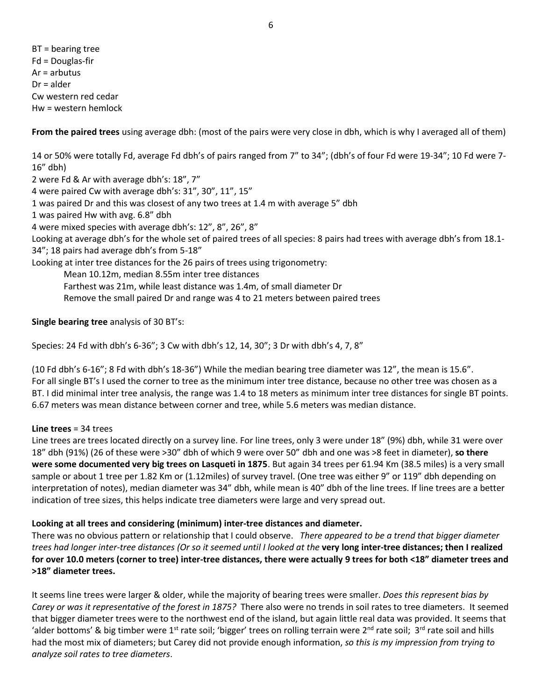BT = bearing tree Fd = Douglas-fir Ar = arbutus Dr = alder Cw western red cedar Hw = western hemlock

**From the paired trees** using average dbh: (most of the pairs were very close in dbh, which is why I averaged all of them)

14 or 50% were totally Fd, average Fd dbh's of pairs ranged from 7" to 34"; (dbh's of four Fd were 19-34"; 10 Fd were 7- 16" dbh) 2 were Fd & Ar with average dbh's: 18", 7" 4 were paired Cw with average dbh's: 31", 30", 11", 15" 1 was paired Dr and this was closest of any two trees at 1.4 m with average 5" dbh 1 was paired Hw with avg. 6.8" dbh 4 were mixed species with average dbh's: 12", 8", 26", 8" Looking at average dbh's for the whole set of paired trees of all species: 8 pairs had trees with average dbh's from 18.1- 34"; 18 pairs had average dbh's from 5-18" Looking at inter tree distances for the 26 pairs of trees using trigonometry: Mean 10.12m, median 8.55m inter tree distances Farthest was 21m, while least distance was 1.4m, of small diameter Dr Remove the small paired Dr and range was 4 to 21 meters between paired trees

**Single bearing tree** analysis of 30 BT's:

Species: 24 Fd with dbh's 6-36"; 3 Cw with dbh's 12, 14, 30"; 3 Dr with dbh's 4, 7, 8"

(10 Fd dbh's 6-16"; 8 Fd with dbh's 18-36") While the median bearing tree diameter was 12", the mean is 15.6". For all single BT's I used the corner to tree as the minimum inter tree distance, because no other tree was chosen as a BT. I did minimal inter tree analysis, the range was 1.4 to 18 meters as minimum inter tree distances for single BT points. 6.67 meters was mean distance between corner and tree, while 5.6 meters was median distance.

## **Line trees** = 34 trees

Line trees are trees located directly on a survey line. For line trees, only 3 were under 18" (9%) dbh, while 31 were over 18" dbh (91%) (26 of these were >30" dbh of which 9 were over 50" dbh and one was >8 feet in diameter), **so there were some documented very big trees on Lasqueti in 1875**. But again 34 trees per 61.94 Km (38.5 miles) is a very small sample or about 1 tree per 1.82 Km or (1.12miles) of survey travel. (One tree was either 9" or 119" dbh depending on interpretation of notes), median diameter was 34" dbh, while mean is 40" dbh of the line trees. If line trees are a better indication of tree sizes, this helps indicate tree diameters were large and very spread out.

## **Looking at all trees and considering (minimum) inter-tree distances and diameter.**

There was no obvious pattern or relationship that I could observe. *There appeared to be a trend that bigger diameter trees had longer inter-tree distances (Or so it seemed until I looked at the* **very long inter-tree distances; then I realized for over 10.0 meters (corner to tree) inter-tree distances, there were actually 9 trees for both <18" diameter trees and >18" diameter trees.**

It seems line trees were larger & older, while the majority of bearing trees were smaller. *Does this represent bias by Carey or was it representative of the forest in 1875?* There also were no trends in soil rates to tree diameters. It seemed that bigger diameter trees were to the northwest end of the island, but again little real data was provided. It seems that 'alder bottoms' & big timber were 1<sup>st</sup> rate soil; 'bigger' trees on rolling terrain were 2<sup>nd</sup> rate soil; 3<sup>rd</sup> rate soil and hills had the most mix of diameters; but Carey did not provide enough information, *so this is my impression from trying to analyze soil rates to tree diameters*.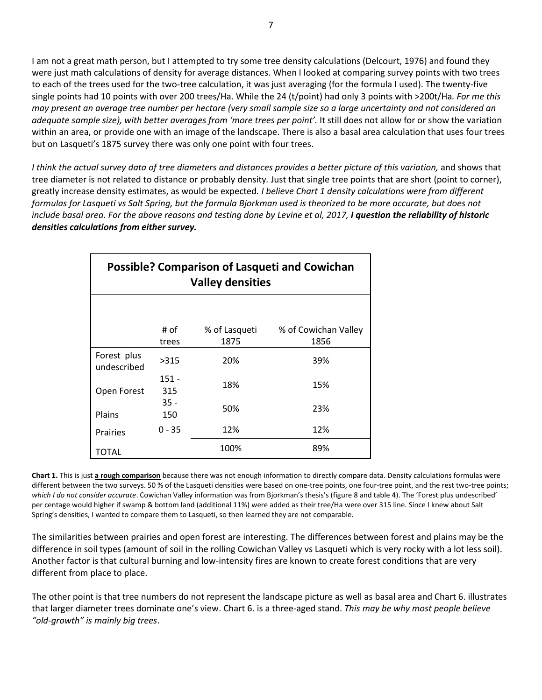I am not a great math person, but I attempted to try some tree density calculations (Delcourt, 1976) and found they were just math calculations of density for average distances. When I looked at comparing survey points with two trees to each of the trees used for the two-tree calculation, it was just averaging (for the formula I used). The twenty-five single points had 10 points with over 200 trees/Ha. While the 24 (t/point) had only 3 points with >200t/Ha*. For me this may present an average tree number per hectare (very small sample size so a large uncertainty and not considered an adequate sample size), with better averages from 'more trees per point'.* It still does not allow for or show the variation within an area, or provide one with an image of the landscape. There is also a basal area calculation that uses four trees but on Lasqueti's 1875 survey there was only one point with four trees.

*I think the actual survey data of tree diameters and distances provides a better picture of this variation,* and shows that tree diameter is not related to distance or probably density*.* Just that single tree points that are short (point to corner), greatly increase density estimates, as would be expected*. I believe Chart 1 density calculations were from different formulas for Lasqueti vs Salt Spring, but the formula Bjorkman used is theorized to be more accurate, but does not include basal area. For the above reasons and testing done by Levine et al, 2017, I question the reliability of historic densities calculations from either survey.*

| <b>Possible? Comparison of Lasqueti and Cowichan</b><br><b>Valley densities</b> |               |               |                      |
|---------------------------------------------------------------------------------|---------------|---------------|----------------------|
|                                                                                 |               |               |                      |
|                                                                                 | # of          | % of Lasqueti | % of Cowichan Valley |
|                                                                                 | trees         | 1875          | 1856                 |
| Forest plus<br>undescribed                                                      | >315          | 20%           | 39%                  |
| Open Forest                                                                     | 151 -<br>315  | 18%           | 15%                  |
| Plains                                                                          | $35 -$<br>150 | 50%           | 23%                  |
| <b>Prairies</b>                                                                 | $0 - 35$      | 12%           | 12%                  |
| TOTAL                                                                           |               | 100%          | 89%                  |

**Chart 1.** This is just **a rough comparison** because there was not enough information to directly compare data. Density calculations formulas were different between the two surveys. 50 % of the Lasqueti densities were based on one-tree points, one four-tree point, and the rest two-tree points; *which I do not consider accurate*. Cowichan Valley information was from Bjorkman's thesis's (figure 8 and table 4). The 'Forest plus undescribed' per centage would higher if swamp & bottom land (additional 11%) were added as their tree/Ha were over 315 line. Since I knew about Salt Spring's densities, I wanted to compare them to Lasqueti, so then learned they are not comparable.

The similarities between prairies and open forest are interesting. The differences between forest and plains may be the difference in soil types (amount of soil in the rolling Cowichan Valley vs Lasqueti which is very rocky with a lot less soil). Another factor is that cultural burning and low-intensity fires are known to create forest conditions that are very different from place to place.

The other point is that tree numbers do not represent the landscape picture as well as basal area and Chart 6. illustrates that larger diameter trees dominate one's view. Chart 6. is a three-aged stand. *This may be why most people believe "old-growth" is mainly big trees*.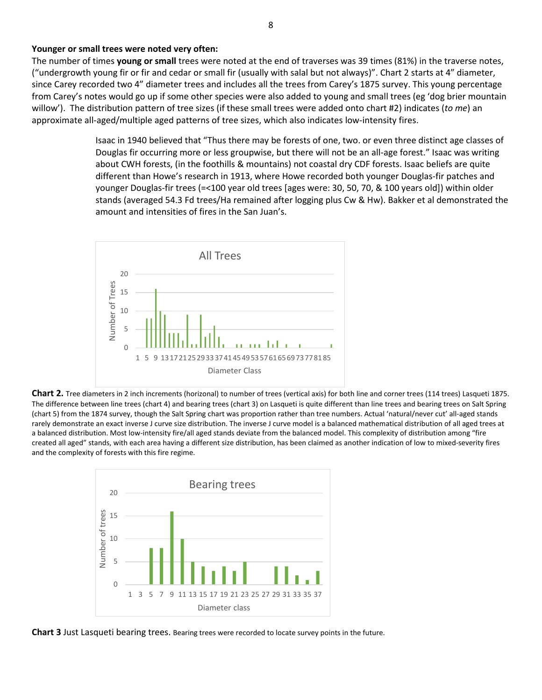#### **Younger or small trees were noted very often:**

The number of times **young or small** trees were noted at the end of traverses was 39 times (81%) in the traverse notes, ("undergrowth young fir or fir and cedar or small fir (usually with salal but not always)". Chart 2 starts at 4" diameter, since Carey recorded two 4" diameter trees and includes all the trees from Carey's 1875 survey. This young percentage from Carey's notes would go up if some other species were also added to young and small trees (eg 'dog brier mountain willow'). The distribution pattern of tree sizes (if these small trees were added onto chart #2) indicates (*to me*) an approximate all-aged/multiple aged patterns of tree sizes, which also indicates low-intensity fires.

> Isaac in 1940 believed that "Thus there may be forests of one, two. or even three distinct age classes of Douglas fir occurring more or less groupwise, but there will not be an all-age forest." Isaac was writing about CWH forests, (in the foothills & mountains) not coastal dry CDF forests. Isaac beliefs are quite different than Howe's research in 1913, where Howe recorded both younger Douglas-fir patches and younger Douglas-fir trees (=<100 year old trees [ages were: 30, 50, 70, & 100 years old]) within older stands (averaged 54.3 Fd trees/Ha remained after logging plus Cw & Hw). Bakker et al demonstrated the amount and intensities of fires in the San Juan's.



**Chart 2.** Tree diameters in 2 inch increments (horizonal) to number of trees (vertical axis) for both line and corner trees (114 trees) Lasqueti 1875. The difference between line trees (chart 4) and bearing trees (chart 3) on Lasqueti is quite different than line trees and bearing trees on Salt Spring (chart 5) from the 1874 survey, though the Salt Spring chart was proportion rather than tree numbers. Actual 'natural/never cut' all-aged stands rarely demonstrate an exact inverse J curve size distribution. The inverse J curve model is a balanced mathematical distribution of all aged trees at a balanced distribution. Most low-intensity fire/all aged stands deviate from the balanced model. This complexity of distribution among "fire created all aged" stands, with each area having a different size distribution, has been claimed as another indication of low to mixed-severity fires and the complexity of forests with this fire regime.



**Chart 3** Just Lasqueti bearing trees. Bearing trees were recorded to locate survey points in the future.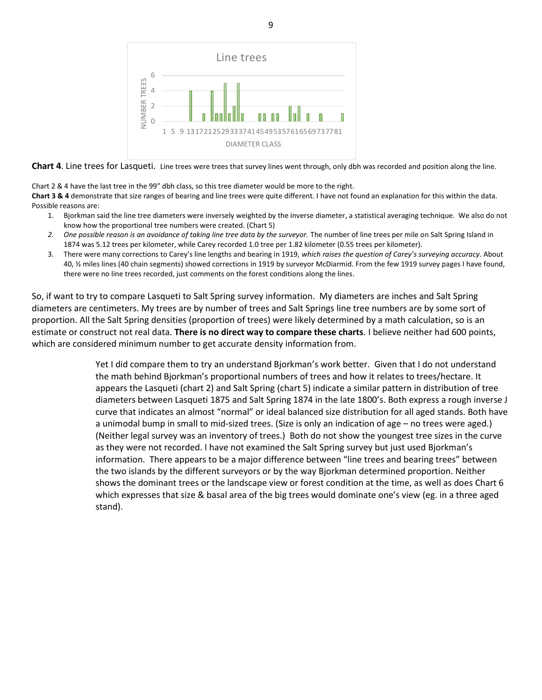

**Chart 4**. Line trees for Lasqueti. Line trees were trees that survey lines went through, only dbh was recorded and position along the line.

Chart 2 & 4 have the last tree in the 99" dbh class, so this tree diameter would be more to the right.

**Chart 3 & 4** demonstrate that size ranges of bearing and line trees were quite different. I have not found an explanation for this within the data. Possible reasons are:

- 1. Bjorkman said the line tree diameters were inversely weighted by the inverse diameter, a statistical averaging technique. We also do not know how the proportional tree numbers were created. (Chart 5)
- 2. One possible reason is an avoidance of taking line tree data by the surveyor. The number of line trees per mile on Salt Spring Island in 1874 was 5.12 trees per kilometer, while Carey recorded 1.0 tree per 1.82 kilometer (0.55 trees per kilometer).
- 3. There were many corrections to Carey's line lengths and bearing in 1919*, which raises the question of Carey's surveying accuracy.* About 40, ½ miles lines (40 chain segments) showed corrections in 1919 by surveyor McDiarmid. From the few 1919 survey pages I have found, there were no line trees recorded, just comments on the forest conditions along the lines.

So, if want to try to compare Lasqueti to Salt Spring survey information. My diameters are inches and Salt Spring diameters are centimeters. My trees are by number of trees and Salt Springs line tree numbers are by some sort of proportion. All the Salt Spring densities (proportion of trees) were likely determined by a math calculation, so is an estimate or construct not real data. **There is no direct way to compare these charts**. I believe neither had 600 points, which are considered minimum number to get accurate density information from.

> Yet I did compare them to try an understand Bjorkman's work better. Given that I do not understand the math behind Bjorkman's proportional numbers of trees and how it relates to trees/hectare. It appears the Lasqueti (chart 2) and Salt Spring (chart 5) indicate a similar pattern in distribution of tree diameters between Lasqueti 1875 and Salt Spring 1874 in the late 1800's. Both express a rough inverse J curve that indicates an almost "normal" or ideal balanced size distribution for all aged stands. Both have a unimodal bump in small to mid-sized trees. (Size is only an indication of age – no trees were aged.) (Neither legal survey was an inventory of trees.) Both do not show the youngest tree sizes in the curve as they were not recorded. I have not examined the Salt Spring survey but just used Bjorkman's information. There appears to be a major difference between "line trees and bearing trees" between the two islands by the different surveyors or by the way Bjorkman determined proportion. Neither shows the dominant trees or the landscape view or forest condition at the time, as well as does Chart 6 which expresses that size & basal area of the big trees would dominate one's view (eg. in a three aged stand).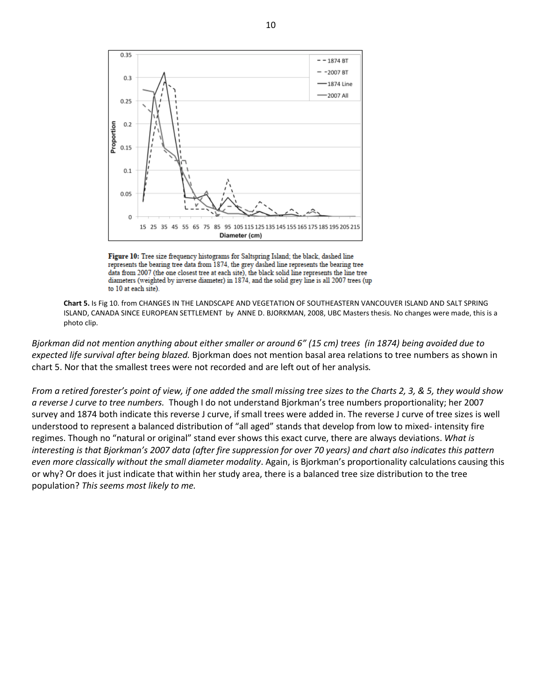

Figure 10: Tree size frequency histograms for Saltspring Island; the black, dashed line represents the bearing tree data from 1874, the grey dashed line represents the bearing tree data from 2007 (the one closest tree at each site), the black solid line represents the line tree diameters (weighted by inverse diameter) in 1874, and the solid grey line is all 2007 trees (up to 10 at each site).

**Chart 5.** Is Fig 10. from CHANGES IN THE LANDSCAPE AND VEGETATION OF SOUTHEASTERN VANCOUVER ISLAND AND SALT SPRING ISLAND, CANADA SINCE EUROPEAN SETTLEMENT by ANNE D. BJORKMAN, 2008, UBC Masters thesis. No changes were made, this is a photo clip.

*Bjorkman did not mention anything about either smaller or around 6" (15 cm) trees (in 1874) being avoided due to expected life survival after being blazed.* Bjorkman does not mention basal area relations to tree numbers as shown in chart 5. Nor that the smallest trees were not recorded and are left out of her analysis*.*

*From a retired forester's point of view, if one added the small missing tree sizes to the Charts 2, 3, & 5, they would show a reverse J curve to tree numbers.* Though I do not understand Bjorkman's tree numbers proportionality; her 2007 survey and 1874 both indicate this reverse J curve, if small trees were added in. The reverse J curve of tree sizes is well understood to represent a balanced distribution of "all aged" stands that develop from low to mixed- intensity fire regimes. Though no "natural or original" stand ever shows this exact curve, there are always deviations. *What is interesting is that Bjorkman's 2007 data (after fire suppression for over 70 years) and chart also indicates this pattern even more classically without the small diameter modality*. Again, is Bjorkman's proportionality calculations causing this or why? Or does it just indicate that within her study area, there is a balanced tree size distribution to the tree population? *This seems most likely to me.*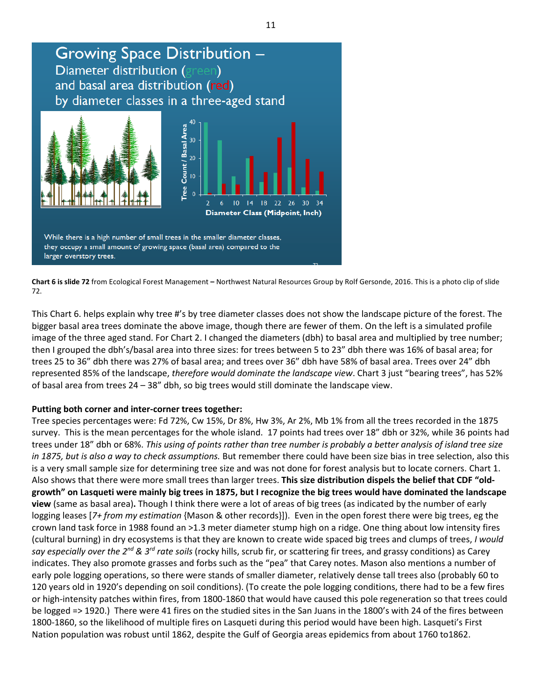

**Chart 6 is slide 72** from Ecological Forest Management **–** Northwest Natural Resources Group by Rolf Gersonde, 2016. This is a photo clip of slide 72.

This Chart 6. helps explain why tree #'s by tree diameter classes does not show the landscape picture of the forest. The bigger basal area trees dominate the above image, though there are fewer of them. On the left is a simulated profile image of the three aged stand. For Chart 2. I changed the diameters (dbh) to basal area and multiplied by tree number; then I grouped the dbh's/basal area into three sizes: for trees between 5 to 23" dbh there was 16% of basal area; for trees 25 to 36" dbh there was 27% of basal area; and trees over 36" dbh have 58% of basal area. Trees over 24" dbh represented 85% of the landscape, *therefore would dominate the landscape view*. Chart 3 just "bearing trees", has 52% of basal area from trees 24 – 38" dbh, so big trees would still dominate the landscape view.

## **Putting both corner and inter-corner trees together:**

Tree species percentages were: Fd 72%, Cw 15%, Dr 8%, Hw 3%, Ar 2%, Mb 1% from all the trees recorded in the 1875 survey. This is the mean percentages for the whole island. 17 points had trees over 18" dbh or 32%, while 36 points had trees under 18" dbh or 68%. *This using of points rather than tree number is probably a better analysis of island tree size in 1875, but is also a way to check assumptions.* But remember there could have been size bias in tree selection, also this is a very small sample size for determining tree size and was not done for forest analysis but to locate corners. Chart 1. Also shows that there were more small trees than larger trees. **This size distribution dispels the belief that CDF "oldgrowth" on Lasqueti were mainly big trees in 1875, but I recognize the big trees would have dominated the landscape view** (same as basal area)**.** Though I think there were a lot of areas of big trees (as indicated by the number of early logging leases [*7+ from my estimation* {Mason & other records}]). Even in the open forest there were big trees, eg the crown land task force in 1988 found an >1.3 meter diameter stump high on a ridge. One thing about low intensity fires (cultural burning) in dry ecosystems is that they are known to create wide spaced big trees and clumps of trees, *I would*  say especially over the 2<sup>nd</sup> & 3<sup>rd</sup> rate soils (rocky hills, scrub fir, or scattering fir trees, and grassy conditions) as Carey indicates. They also promote grasses and forbs such as the "pea" that Carey notes. Mason also mentions a number of early pole logging operations, so there were stands of smaller diameter, relatively dense tall trees also (probably 60 to 120 years old in 1920's depending on soil conditions). (To create the pole logging conditions, there had to be a few fires or high-intensity patches within fires, from 1800-1860 that would have caused this pole regeneration so that trees could be logged => 1920.) There were 41 fires on the studied sites in the San Juans in the 1800's with 24 of the fires between 1800-1860, so the likelihood of multiple fires on Lasqueti during this period would have been high. Lasqueti's First Nation population was robust until 1862, despite the Gulf of Georgia areas epidemics from about 1760 to1862.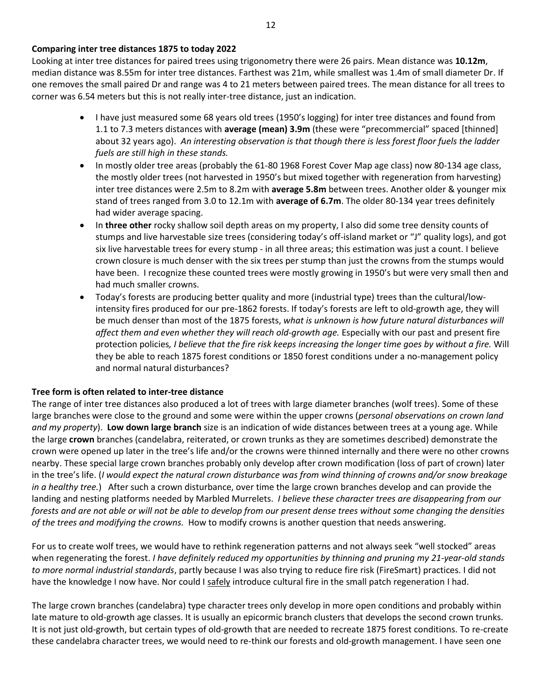Looking at inter tree distances for paired trees using trigonometry there were 26 pairs. Mean distance was **10.12m**, median distance was 8.55m for inter tree distances. Farthest was 21m, while smallest was 1.4m of small diameter Dr. If one removes the small paired Dr and range was 4 to 21 meters between paired trees. The mean distance for all trees to corner was 6.54 meters but this is not really inter-tree distance, just an indication.

- I have just measured some 68 years old trees (1950's logging) for inter tree distances and found from 1.1 to 7.3 meters distances with **average (mean) 3.9m** (these were "precommercial" spaced [thinned] about 32 years ago). *An interesting observation is that though there is less forest floor fuels the ladder fuels are still high in these stands.*
- In mostly older tree areas (probably the 61-80 1968 Forest Cover Map age class) now 80-134 age class, the mostly older trees (not harvested in 1950's but mixed together with regeneration from harvesting) inter tree distances were 2.5m to 8.2m with **average 5.8m** between trees. Another older & younger mix stand of trees ranged from 3.0 to 12.1m with **average of 6.7m**. The older 80-134 year trees definitely had wider average spacing.
- In **three other** rocky shallow soil depth areas on my property, I also did some tree density counts of stumps and live harvestable size trees (considering today's off-island market or "J" quality logs), and got six live harvestable trees for every stump - in all three areas; this estimation was just a count. I believe crown closure is much denser with the six trees per stump than just the crowns from the stumps would have been. I recognize these counted trees were mostly growing in 1950's but were very small then and had much smaller crowns.
- Today's forests are producing better quality and more (industrial type) trees than the cultural/lowintensity fires produced for our pre-1862 forests. If today's forests are left to old-growth age, they will be much denser than most of the 1875 forests, *what is unknown is how future natural disturbances will affect them and even whether they will reach old-growth age.* Especially with our past and present fire protection policies*, I believe that the fire risk keeps increasing the longer time goes by without a fire.* Will they be able to reach 1875 forest conditions or 1850 forest conditions under a no-management policy and normal natural disturbances?

## **Tree form is often related to inter-tree distance**

The range of inter tree distances also produced a lot of trees with large diameter branches (wolf trees). Some of these large branches were close to the ground and some were within the upper crowns (*personal observations on crown land and my property*). **Low down large branch** size is an indication of wide distances between trees at a young age. While the large **crown** branches (candelabra, reiterated, or crown trunks as they are sometimes described) demonstrate the crown were opened up later in the tree's life and/or the crowns were thinned internally and there were no other crowns nearby. These special large crown branches probably only develop after crown modification (loss of part of crown) later in the tree's life. (*I would expect the natural crown disturbance was from wind thinning of crowns and/or snow breakage in a healthy tree.*) After such a crown disturbance, over time the large crown branches develop and can provide the landing and nesting platforms needed by Marbled Murrelets. *I believe these character trees are disappearing from our forests and are not able or will not be able to develop from our present dense trees without some changing the densities of the trees and modifying the crowns.* How to modify crowns is another question that needs answering.

For us to create wolf trees, we would have to rethink regeneration patterns and not always seek "well stocked" areas when regenerating the forest. *I have definitely reduced my opportunities by thinning and pruning my 21-year-old stands to more normal industrial standards*, partly because I was also trying to reduce fire risk (FireSmart) practices. I did not have the knowledge I now have. Nor could I safely introduce cultural fire in the small patch regeneration I had.

The large crown branches (candelabra) type character trees only develop in more open conditions and probably within late mature to old-growth age classes. It is usually an epicormic branch clusters that develops the second crown trunks. It is not just old-growth, but certain types of old-growth that are needed to recreate 1875 forest conditions. To re-create these candelabra character trees, we would need to re-think our forests and old-growth management. I have seen one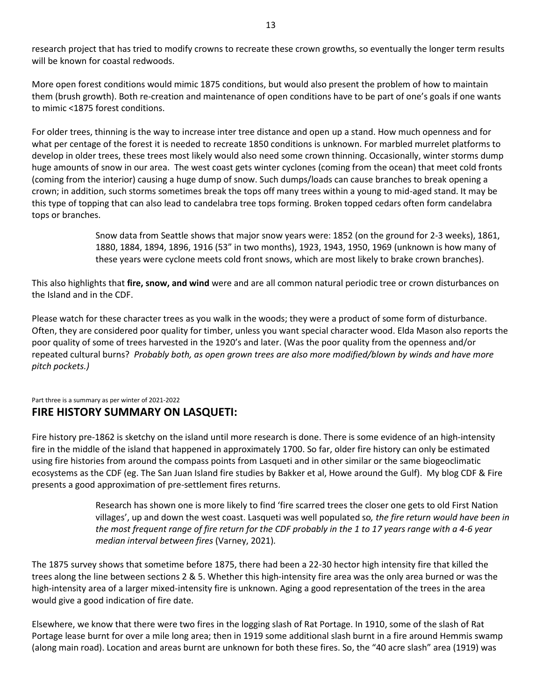research project that has tried to modify crowns to recreate these crown growths, so eventually the longer term results will be known for coastal redwoods.

More open forest conditions would mimic 1875 conditions, but would also present the problem of how to maintain them (brush growth). Both re-creation and maintenance of open conditions have to be part of one's goals if one wants to mimic <1875 forest conditions.

For older trees, thinning is the way to increase inter tree distance and open up a stand. How much openness and for what per centage of the forest it is needed to recreate 1850 conditions is unknown. For marbled murrelet platforms to develop in older trees, these trees most likely would also need some crown thinning. Occasionally, winter storms dump huge amounts of snow in our area. The west coast gets winter cyclones (coming from the ocean) that meet cold fronts (coming from the interior) causing a huge dump of snow. Such dumps/loads can cause branches to break opening a crown; in addition, such storms sometimes break the tops off many trees within a young to mid-aged stand. It may be this type of topping that can also lead to candelabra tree tops forming. Broken topped cedars often form candelabra tops or branches.

> Snow data from Seattle shows that major snow years were: 1852 (on the ground for 2-3 weeks), 1861, 1880, 1884, 1894, 1896, 1916 (53" in two months), 1923, 1943, 1950, 1969 (unknown is how many of these years were cyclone meets cold front snows, which are most likely to brake crown branches).

This also highlights that **fire, snow, and wind** were and are all common natural periodic tree or crown disturbances on the Island and in the CDF.

Please watch for these character trees as you walk in the woods; they were a product of some form of disturbance. Often, they are considered poor quality for timber, unless you want special character wood. Elda Mason also reports the poor quality of some of trees harvested in the 1920's and later. (Was the poor quality from the openness and/or repeated cultural burns? *Probably both, as open grown trees are also more modified/blown by winds and have more pitch pockets.)*

#### Part three is a summary as per winter of 2021-2022 **FIRE HISTORY SUMMARY ON LASQUETI:**

Fire history pre-1862 is sketchy on the island until more research is done. There is some evidence of an high-intensity fire in the middle of the island that happened in approximately 1700. So far, older fire history can only be estimated using fire histories from around the compass points from Lasqueti and in other similar or the same biogeoclimatic ecosystems as the CDF (eg. The San Juan Island fire studies by Bakker et al, Howe around the Gulf). My blog CDF & Fire presents a good approximation of pre-settlement fires returns.

> Research has shown one is more likely to find 'fire scarred trees the closer one gets to old First Nation villages', up and down the west coast. Lasqueti was well populated so*, the fire return would have been in the most frequent range of fire return for the CDF probably in the 1 to 17 years range with a 4-6 year median interval between fires* (Varney, 2021)*.*

The 1875 survey shows that sometime before 1875, there had been a 22-30 hector high intensity fire that killed the trees along the line between sections 2 & 5. Whether this high-intensity fire area was the only area burned or was the high-intensity area of a larger mixed-intensity fire is unknown. Aging a good representation of the trees in the area would give a good indication of fire date.

Elsewhere, we know that there were two fires in the logging slash of Rat Portage. In 1910, some of the slash of Rat Portage lease burnt for over a mile long area; then in 1919 some additional slash burnt in a fire around Hemmis swamp (along main road). Location and areas burnt are unknown for both these fires. So, the "40 acre slash" area (1919) was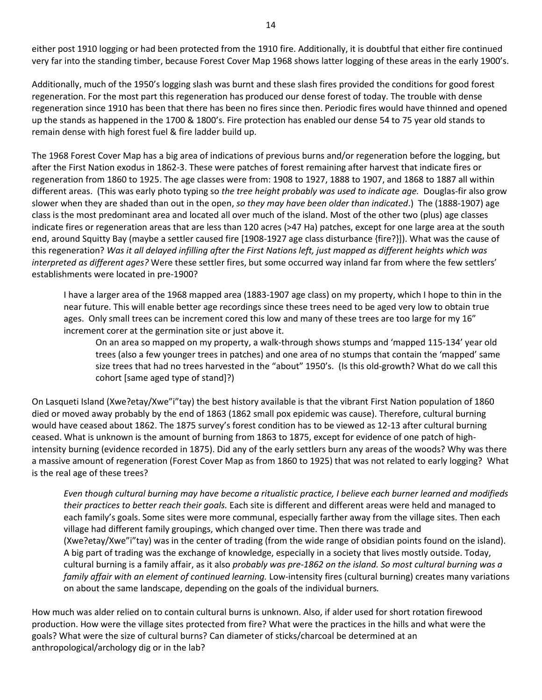either post 1910 logging or had been protected from the 1910 fire. Additionally, it is doubtful that either fire continued very far into the standing timber, because Forest Cover Map 1968 shows latter logging of these areas in the early 1900's.

Additionally, much of the 1950's logging slash was burnt and these slash fires provided the conditions for good forest regeneration. For the most part this regeneration has produced our dense forest of today. The trouble with dense regeneration since 1910 has been that there has been no fires since then. Periodic fires would have thinned and opened up the stands as happened in the 1700 & 1800's. Fire protection has enabled our dense 54 to 75 year old stands to remain dense with high forest fuel & fire ladder build up.

The 1968 Forest Cover Map has a big area of indications of previous burns and/or regeneration before the logging, but after the First Nation exodus in 1862-3. These were patches of forest remaining after harvest that indicate fires or regeneration from 1860 to 1925. The age classes were from: 1908 to 1927, 1888 to 1907, and 1868 to 1887 all within different areas. (This was early photo typing so *the tree height probably was used to indicate age.* Douglas-fir also grow slower when they are shaded than out in the open, *so they may have been older than indicated*.) The (1888-1907) age class is the most predominant area and located all over much of the island. Most of the other two (plus) age classes indicate fires or regeneration areas that are less than 120 acres (>47 Ha) patches, except for one large area at the south end, around Squitty Bay (maybe a settler caused fire [1908-1927 age class disturbance {fire?}]). What was the cause of this regeneration? *Was it all delayed infilling after the First Nations left, just mapped as different heights which was interpreted as different ages?* Were these settler fires, but some occurred way inland far from where the few settlers' establishments were located in pre-1900?

I have a larger area of the 1968 mapped area (1883-1907 age class) on my property, which I hope to thin in the near future. This will enable better age recordings since these trees need to be aged very low to obtain true ages. Only small trees can be increment cored this low and many of these trees are too large for my 16" increment corer at the germination site or just above it.

On an area so mapped on my property, a walk-through shows stumps and 'mapped 115-134' year old trees (also a few younger trees in patches) and one area of no stumps that contain the 'mapped' same size trees that had no trees harvested in the "about" 1950's. (Is this old-growth? What do we call this cohort [same aged type of stand]?)

On Lasqueti Island (Xwe?etay/Xwe"i"tay) the best history available is that the vibrant First Nation population of 1860 died or moved away probably by the end of 1863 (1862 small pox epidemic was cause). Therefore, cultural burning would have ceased about 1862. The 1875 survey's forest condition has to be viewed as 12-13 after cultural burning ceased. What is unknown is the amount of burning from 1863 to 1875, except for evidence of one patch of highintensity burning (evidence recorded in 1875). Did any of the early settlers burn any areas of the woods? Why was there a massive amount of regeneration (Forest Cover Map as from 1860 to 1925) that was not related to early logging? What is the real age of these trees?

*Even though cultural burning may have become a ritualistic practice, I believe each burner learned and modifieds their practices to better reach their goals.* Each site is different and different areas were held and managed to each family's goals. Some sites were more communal, especially farther away from the village sites. Then each village had different family groupings, which changed over time. Then there was trade and (Xwe?etay/Xwe"i"tay) was in the center of trading (from the wide range of obsidian points found on the island). A big part of trading was the exchange of knowledge, especially in a society that lives mostly outside. Today, cultural burning is a family affair, as it also *probably was pre-1862 on the island. So most cultural burning was a family affair with an element of continued learning.* Low-intensity fires (cultural burning) creates many variations on about the same landscape, depending on the goals of the individual burners*.*

How much was alder relied on to contain cultural burns is unknown. Also, if alder used for short rotation firewood production. How were the village sites protected from fire? What were the practices in the hills and what were the goals? What were the size of cultural burns? Can diameter of sticks/charcoal be determined at an anthropological/archology dig or in the lab?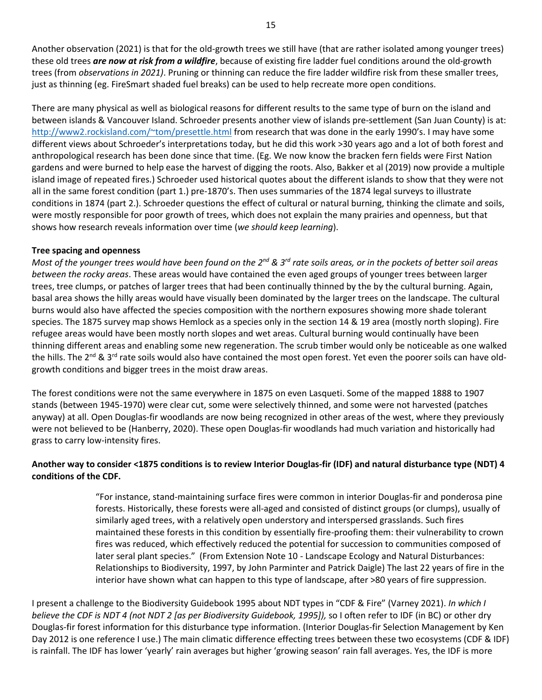Another observation (2021) is that for the old-growth trees we still have (that are rather isolated among younger trees) these old trees *are now at risk from a wildfire*, because of existing fire ladder fuel conditions around the old-growth trees (from *observations in 2021)*. Pruning or thinning can reduce the fire ladder wildfire risk from these smaller trees, just as thinning (eg. FireSmart shaded fuel breaks) can be used to help recreate more open conditions.

There are many physical as well as biological reasons for different results to the same type of burn on the island and between islands & Vancouver Island. Schroeder presents another view of islands pre-settlement (San Juan County) is at: <http://www2.rockisland.com/~tom/presettle.html> from research that was done in the early 1990's. I may have some different views about Schroeder's interpretations today, but he did this work >30 years ago and a lot of both forest and anthropological research has been done since that time. (Eg. We now know the bracken fern fields were First Nation gardens and were burned to help ease the harvest of digging the roots. Also, Bakker et al (2019) now provide a multiple island image of repeated fires.) Schroeder used historical quotes about the different islands to show that they were not all in the same forest condition (part 1.) pre-1870's. Then uses summaries of the 1874 legal surveys to illustrate conditions in 1874 (part 2.). Schroeder questions the effect of cultural or natural burning, thinking the climate and soils, were mostly responsible for poor growth of trees, which does not explain the many prairies and openness, but that shows how research reveals information over time (*we should keep learning*).

## **Tree spacing and openness**

Most of the younger trees would have been found on the 2<sup>nd</sup> & 3<sup>rd</sup> rate soils areas, or in the pockets of better soil areas *between the rocky areas*. These areas would have contained the even aged groups of younger trees between larger trees, tree clumps, or patches of larger trees that had been continually thinned by the by the cultural burning. Again, basal area shows the hilly areas would have visually been dominated by the larger trees on the landscape. The cultural burns would also have affected the species composition with the northern exposures showing more shade tolerant species. The 1875 survey map shows Hemlock as a species only in the section 14 & 19 area (mostly north sloping). Fire refugee areas would have been mostly north slopes and wet areas. Cultural burning would continually have been thinning different areas and enabling some new regeneration. The scrub timber would only be noticeable as one walked the hills. The  $2^{nd}$  &  $3^{rd}$  rate soils would also have contained the most open forest. Yet even the poorer soils can have oldgrowth conditions and bigger trees in the moist draw areas.

The forest conditions were not the same everywhere in 1875 on even Lasqueti. Some of the mapped 1888 to 1907 stands (between 1945-1970) were clear cut, some were selectively thinned, and some were not harvested (patches anyway) at all. Open Douglas-fir woodlands are now being recognized in other areas of the west, where they previously were not believed to be (Hanberry, 2020). These open Douglas-fir woodlands had much variation and historically had grass to carry low-intensity fires.

## **Another way to consider <1875 conditions is to review Interior Douglas-fir (IDF) and natural disturbance type (NDT) 4 conditions of the CDF.**

"For instance, stand-maintaining surface fires were common in interior Douglas-fir and ponderosa pine forests. Historically, these forests were all-aged and consisted of distinct groups (or clumps), usually of similarly aged trees, with a relatively open understory and interspersed grasslands. Such fires maintained these forests in this condition by essentially fire-proofing them: their vulnerability to crown fires was reduced, which effectively reduced the potential for succession to communities composed of later seral plant species." (From Extension Note 10 - Landscape Ecology and Natural Disturbances: Relationships to Biodiversity, 1997, by John Parminter and Patrick Daigle) The last 22 years of fire in the interior have shown what can happen to this type of landscape, after >80 years of fire suppression.

I present a challenge to the Biodiversity Guidebook 1995 about NDT types in "CDF & Fire" (Varney 2021). *In which I believe the CDF is NDT 4 (not NDT 2 [as per Biodiversity Guidebook, 1995]),* so I often refer to IDF (in BC) or other dry Douglas-fir forest information for this disturbance type information. (Interior Douglas-fir Selection Management by Ken Day 2012 is one reference I use.) The main climatic difference effecting trees between these two ecosystems (CDF & IDF) is rainfall. The IDF has lower 'yearly' rain averages but higher 'growing season' rain fall averages. Yes, the IDF is more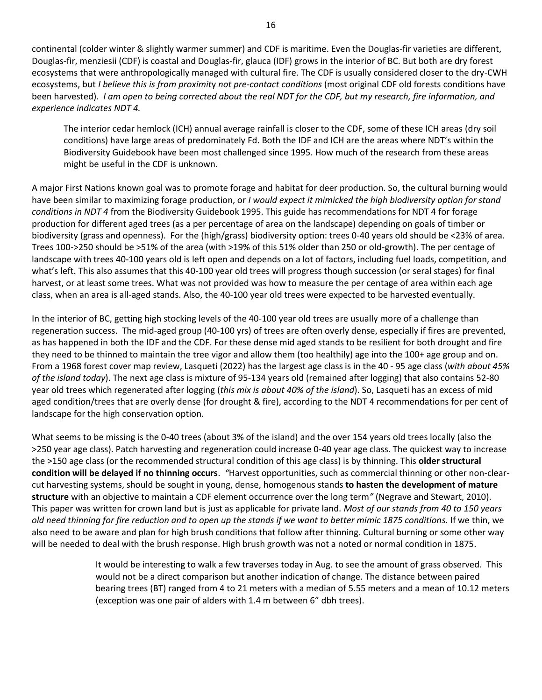continental (colder winter & slightly warmer summer) and CDF is maritime. Even the Douglas-fir varieties are different, Douglas-fir, menziesii (CDF) is coastal and Douglas-fir, glauca (IDF) grows in the interior of BC. But both are dry forest ecosystems that were anthropologically managed with cultural fire. The CDF is usually considered closer to the dry-CWH ecosystems, but *I believe this is from proximit*y *not pre-contact conditions* (most original CDF old forests conditions have been harvested). *I am open to being corrected about the real NDT for the CDF, but my research, fire information, and experience indicates NDT 4.*

The interior cedar hemlock (ICH) annual average rainfall is closer to the CDF, some of these ICH areas (dry soil conditions) have large areas of predominately Fd. Both the IDF and ICH are the areas where NDT's within the Biodiversity Guidebook have been most challenged since 1995. How much of the research from these areas might be useful in the CDF is unknown.

A major First Nations known goal was to promote forage and habitat for deer production. So, the cultural burning would have been similar to maximizing forage production, or *I would expect it mimicked the high biodiversity option for stand conditions in NDT 4* from the Biodiversity Guidebook 1995. This guide has recommendations for NDT 4 for forage production for different aged trees (as a per percentage of area on the landscape) depending on goals of timber or biodiversity (grass and openness). For the (high/grass) biodiversity option: trees 0-40 years old should be <23% of area. Trees 100->250 should be >51% of the area (with >19% of this 51% older than 250 or old-growth). The per centage of landscape with trees 40-100 years old is left open and depends on a lot of factors, including fuel loads, competition, and what's left. This also assumes that this 40-100 year old trees will progress though succession (or seral stages) for final harvest, or at least some trees. What was not provided was how to measure the per centage of area within each age class, when an area is all-aged stands. Also, the 40-100 year old trees were expected to be harvested eventually.

In the interior of BC, getting high stocking levels of the 40-100 year old trees are usually more of a challenge than regeneration success. The mid-aged group (40-100 yrs) of trees are often overly dense, especially if fires are prevented, as has happened in both the IDF and the CDF. For these dense mid aged stands to be resilient for both drought and fire they need to be thinned to maintain the tree vigor and allow them (too healthily) age into the 100+ age group and on. From a 1968 forest cover map review, Lasqueti (2022) has the largest age class is in the 40 - 95 age class (*with about 45% of the island today*). The next age class is mixture of 95-134 years old (remained after logging) that also contains 52-80 year old trees which regenerated after logging (*this mix is about 40% of the island*). So, Lasqueti has an excess of mid aged condition/trees that are overly dense (for drought & fire), according to the NDT 4 recommendations for per cent of landscape for the high conservation option.

What seems to be missing is the 0-40 trees (about 3% of the island) and the over 154 years old trees locally (also the >250 year age class). Patch harvesting and regeneration could increase 0-40 year age class. The quickest way to increase the >150 age class (or the recommended structural condition of this age class) is by thinning. This **older structural condition will be delayed if no thinning occurs**. *"*Harvest opportunities, such as commercial thinning or other non-clearcut harvesting systems, should be sought in young, dense, homogenous stands **to hasten the development of mature structure** with an objective to maintain a CDF element occurrence over the long term*"* (Negrave and Stewart, 2010). This paper was written for crown land but is just as applicable for private land. *Most of our stands from 40 to 150 years old need thinning for fire reduction and to open up the stands if we want to better mimic 1875 conditions.* If we thin, we also need to be aware and plan for high brush conditions that follow after thinning. Cultural burning or some other way will be needed to deal with the brush response. High brush growth was not a noted or normal condition in 1875.

> It would be interesting to walk a few traverses today in Aug. to see the amount of grass observed. This would not be a direct comparison but another indication of change. The distance between paired bearing trees (BT) ranged from 4 to 21 meters with a median of 5.55 meters and a mean of 10.12 meters (exception was one pair of alders with 1.4 m between 6" dbh trees).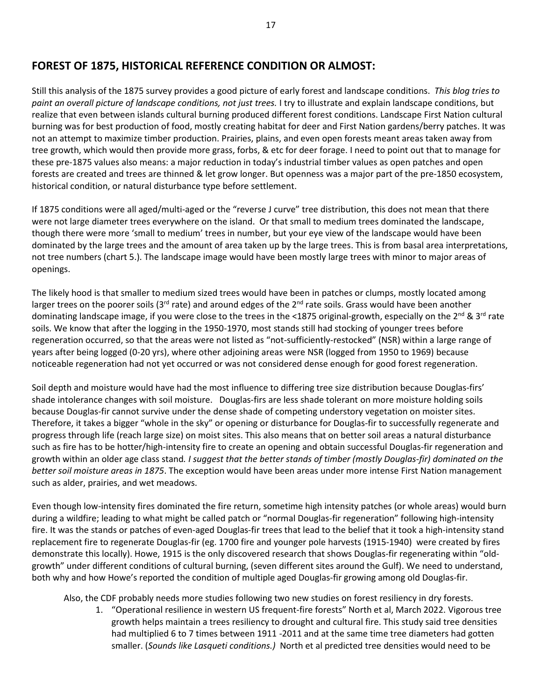# **FOREST OF 1875, HISTORICAL REFERENCE CONDITION OR ALMOST:**

Still this analysis of the 1875 survey provides a good picture of early forest and landscape conditions. *This blog tries to paint an overall picture of landscape conditions, not just trees.* I try to illustrate and explain landscape conditions, but realize that even between islands cultural burning produced different forest conditions. Landscape First Nation cultural burning was for best production of food, mostly creating habitat for deer and First Nation gardens/berry patches. It was not an attempt to maximize timber production. Prairies, plains, and even open forests meant areas taken away from tree growth, which would then provide more grass, forbs, & etc for deer forage. I need to point out that to manage for these pre-1875 values also means: a major reduction in today's industrial timber values as open patches and open forests are created and trees are thinned & let grow longer. But openness was a major part of the pre-1850 ecosystem, historical condition, or natural disturbance type before settlement.

If 1875 conditions were all aged/multi-aged or the "reverse J curve" tree distribution, this does not mean that there were not large diameter trees everywhere on the island. Or that small to medium trees dominated the landscape, though there were more 'small to medium' trees in number, but your eye view of the landscape would have been dominated by the large trees and the amount of area taken up by the large trees. This is from basal area interpretations, not tree numbers (chart 5.). The landscape image would have been mostly large trees with minor to major areas of openings.

The likely hood is that smaller to medium sized trees would have been in patches or clumps, mostly located among larger trees on the poorer soils (3<sup>rd</sup> rate) and around edges of the 2<sup>nd</sup> rate soils. Grass would have been another dominating landscape image, if you were close to the trees in the <1875 original-growth, especially on the 2<sup>nd</sup> & 3<sup>rd</sup> rate soils. We know that after the logging in the 1950-1970, most stands still had stocking of younger trees before regeneration occurred, so that the areas were not listed as "not-sufficiently-restocked" (NSR) within a large range of years after being logged (0-20 yrs), where other adjoining areas were NSR (logged from 1950 to 1969) because noticeable regeneration had not yet occurred or was not considered dense enough for good forest regeneration.

Soil depth and moisture would have had the most influence to differing tree size distribution because Douglas-firs' shade intolerance changes with soil moisture. Douglas-firs are less shade tolerant on more moisture holding soils because Douglas-fir cannot survive under the dense shade of competing understory vegetation on moister sites. Therefore, it takes a bigger "whole in the sky" or opening or disturbance for Douglas-fir to successfully regenerate and progress through life (reach large size) on moist sites. This also means that on better soil areas a natural disturbance such as fire has to be hotter/high-intensity fire to create an opening and obtain successful Douglas-fir regeneration and growth within an older age class stand*. I suggest that the better stands of timber (mostly Douglas-fir) dominated on the better soil moisture areas in 1875*. The exception would have been areas under more intense First Nation management such as alder, prairies, and wet meadows.

Even though low-intensity fires dominated the fire return, sometime high intensity patches (or whole areas) would burn during a wildfire; leading to what might be called patch or "normal Douglas-fir regeneration" following high-intensity fire. It was the stands or patches of even-aged Douglas-fir trees that lead to the belief that it took a high-intensity stand replacement fire to regenerate Douglas-fir (eg. 1700 fire and younger pole harvests (1915-1940) were created by fires demonstrate this locally). Howe, 1915 is the only discovered research that shows Douglas-fir regenerating within "oldgrowth" under different conditions of cultural burning, (seven different sites around the Gulf). We need to understand, both why and how Howe's reported the condition of multiple aged Douglas-fir growing among old Douglas-fir.

Also, the CDF probably needs more studies following two new studies on forest resiliency in dry forests.

1. "Operational resilience in western US frequent-fire forests" North et al, March 2022. Vigorous tree growth helps maintain a trees resiliency to drought and cultural fire. This study said tree densities had multiplied 6 to 7 times between 1911 -2011 and at the same time tree diameters had gotten smaller. (*Sounds like Lasqueti conditions.)* North et al predicted tree densities would need to be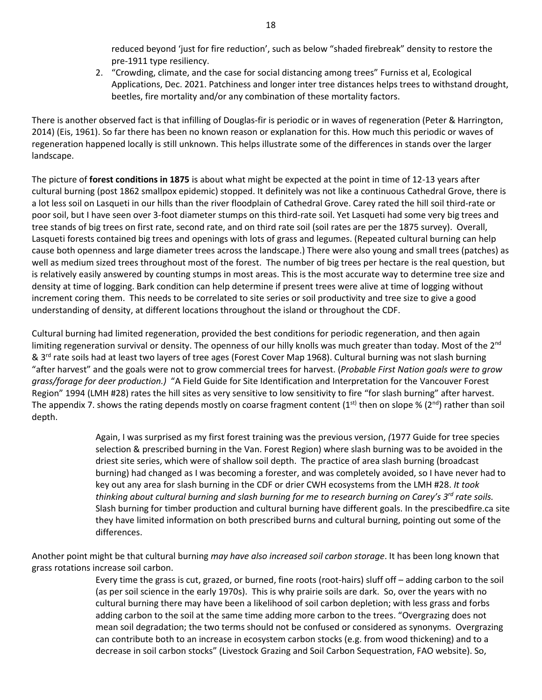reduced beyond 'just for fire reduction', such as below "shaded firebreak" density to restore the pre-1911 type resiliency.

2. "Crowding, climate, and the case for social distancing among trees" Furniss et al, Ecological Applications, Dec. 2021. Patchiness and longer inter tree distances helps trees to withstand drought, beetles, fire mortality and/or any combination of these mortality factors.

There is another observed fact is that infilling of Douglas-fir is periodic or in waves of regeneration (Peter & Harrington, 2014) (Eis, 1961). So far there has been no known reason or explanation for this. How much this periodic or waves of regeneration happened locally is still unknown. This helps illustrate some of the differences in stands over the larger landscape.

The picture of **forest conditions in 1875** is about what might be expected at the point in time of 12-13 years after cultural burning (post 1862 smallpox epidemic) stopped. It definitely was not like a continuous Cathedral Grove, there is a lot less soil on Lasqueti in our hills than the river floodplain of Cathedral Grove. Carey rated the hill soil third-rate or poor soil, but I have seen over 3-foot diameter stumps on this third-rate soil. Yet Lasqueti had some very big trees and tree stands of big trees on first rate, second rate, and on third rate soil (soil rates are per the 1875 survey). Overall, Lasqueti forests contained big trees and openings with lots of grass and legumes. (Repeated cultural burning can help cause both openness and large diameter trees across the landscape.) There were also young and small trees (patches) as well as medium sized trees throughout most of the forest. The number of big trees per hectare is the real question, but is relatively easily answered by counting stumps in most areas. This is the most accurate way to determine tree size and density at time of logging. Bark condition can help determine if present trees were alive at time of logging without increment coring them. This needs to be correlated to site series or soil productivity and tree size to give a good understanding of density, at different locations throughout the island or throughout the CDF.

Cultural burning had limited regeneration, provided the best conditions for periodic regeneration, and then again limiting regeneration survival or density. The openness of our hilly knolls was much greater than today. Most of the 2<sup>nd</sup> & 3<sup>rd</sup> rate soils had at least two layers of tree ages (Forest Cover Map 1968). Cultural burning was not slash burning "after harvest" and the goals were not to grow commercial trees for harvest. (*Probable First Nation goals were to grow grass/forage for deer production.)* "A Field Guide for Site Identification and Interpretation for the Vancouver Forest Region" 1994 (LMH #28) rates the hill sites as very sensitive to low sensitivity to fire "for slash burning" after harvest. The appendix 7. shows the rating depends mostly on coarse fragment content (1<sup>st)</sup> then on slope % (2<sup>nd</sup>) rather than soil depth.

> Again, I was surprised as my first forest training was the previous version, *(*1977 Guide for tree species selection & prescribed burning in the Van. Forest Region) where slash burning was to be avoided in the driest site series, which were of shallow soil depth.The practice of area slash burning (broadcast burning) had changed as I was becoming a forester, and was completely avoided, so I have never had to key out any area for slash burning in the CDF or drier CWH ecosystems from the LMH #28. *It took thinking about cultural burning and slash burning for me to research burning on Carey's 3rd rate soils.* Slash burning for timber production and cultural burning have different goals. In the prescibedfire.ca site they have limited information on both prescribed burns and cultural burning, pointing out some of the differences.

Another point might be that cultural burning *may have also increased soil carbon storage*. It has been long known that grass rotations increase soil carbon.

> Every time the grass is cut, grazed, or burned, fine roots (root-hairs) sluff off – adding carbon to the soil (as per soil science in the early 1970s). This is why prairie soils are dark. So, over the years with no cultural burning there may have been a likelihood of soil carbon depletion; with less grass and forbs adding carbon to the soil at the same time adding more carbon to the trees. "Overgrazing does not mean soil degradation; the two terms should not be confused or considered as synonyms. Overgrazing can contribute both to an increase in ecosystem carbon stocks (e.g. from wood thickening) and to a decrease in soil carbon stocks" (Livestock Grazing and Soil Carbon Sequestration, FAO website). So,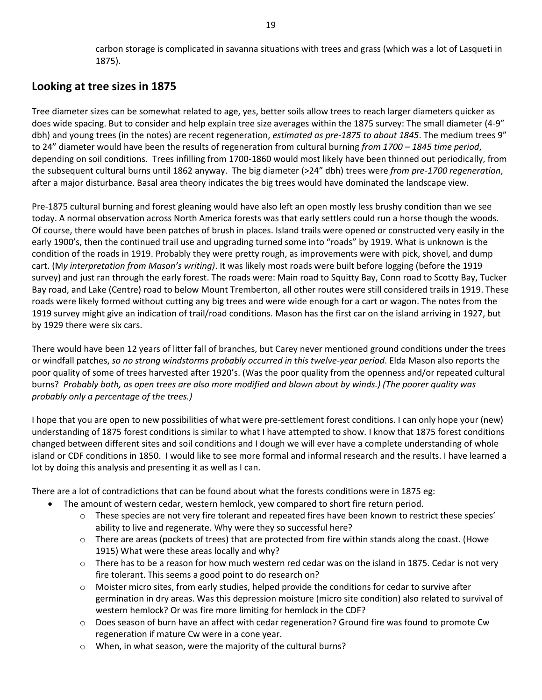carbon storage is complicated in savanna situations with trees and grass (which was a lot of Lasqueti in 1875).

# **Looking at tree sizes in 1875**

Tree diameter sizes can be somewhat related to age, yes, better soils allow trees to reach larger diameters quicker as does wide spacing. But to consider and help explain tree size averages within the 1875 survey: The small diameter (4-9" dbh) and young trees (in the notes) are recent regeneration, *estimated as pre-1875 to about 1845*. The medium trees 9" to 24" diameter would have been the results of regeneration from cultural burning *from 1700 – 1845 time period*, depending on soil conditions. Trees infilling from 1700-1860 would most likely have been thinned out periodically, from the subsequent cultural burns until 1862 anyway. The big diameter (>24" dbh) trees were *from pre-1700 regeneration*, after a major disturbance. Basal area theory indicates the big trees would have dominated the landscape view.

Pre-1875 cultural burning and forest gleaning would have also left an open mostly less brushy condition than we see today. A normal observation across North America forests was that early settlers could run a horse though the woods. Of course, there would have been patches of brush in places. Island trails were opened or constructed very easily in the early 1900's, then the continued trail use and upgrading turned some into "roads" by 1919. What is unknown is the condition of the roads in 1919. Probably they were pretty rough, as improvements were with pick, shovel, and dump cart. (M*y interpretation from Mason's writing)*. It was likely most roads were built before logging (before the 1919 survey) and just ran through the early forest. The roads were: Main road to Squitty Bay, Conn road to Scotty Bay, Tucker Bay road, and Lake (Centre) road to below Mount Tremberton, all other routes were still considered trails in 1919. These roads were likely formed without cutting any big trees and were wide enough for a cart or wagon. The notes from the 1919 survey might give an indication of trail/road conditions. Mason has the first car on the island arriving in 1927, but by 1929 there were six cars.

There would have been 12 years of litter fall of branches, but Carey never mentioned ground conditions under the trees or windfall patches, *so no strong windstorms probably occurred in this twelve-year period*. Elda Mason also reports the poor quality of some of trees harvested after 1920's. (Was the poor quality from the openness and/or repeated cultural burns? *Probably both, as open trees are also more modified and blown about by winds.) (The poorer quality was probably only a percentage of the trees.)*

I hope that you are open to new possibilities of what were pre-settlement forest conditions. I can only hope your (new) understanding of 1875 forest conditions is similar to what I have attempted to show. I know that 1875 forest conditions changed between different sites and soil conditions and I dough we will ever have a complete understanding of whole island or CDF conditions in 1850. I would like to see more formal and informal research and the results. I have learned a lot by doing this analysis and presenting it as well as I can.

There are a lot of contradictions that can be found about what the forests conditions were in 1875 eg:

- The amount of western cedar, western hemlock, yew compared to short fire return period.
	- $\circ$  These species are not very fire tolerant and repeated fires have been known to restrict these species' ability to live and regenerate. Why were they so successful here?
	- $\circ$  There are areas (pockets of trees) that are protected from fire within stands along the coast. (Howe 1915) What were these areas locally and why?
	- $\circ$  There has to be a reason for how much western red cedar was on the island in 1875. Cedar is not very fire tolerant. This seems a good point to do research on?
	- $\circ$  Moister micro sites, from early studies, helped provide the conditions for cedar to survive after germination in dry areas. Was this depression moisture (micro site condition) also related to survival of western hemlock? Or was fire more limiting for hemlock in the CDF?
	- o Does season of burn have an affect with cedar regeneration? Ground fire was found to promote Cw regeneration if mature Cw were in a cone year.
	- o When, in what season, were the majority of the cultural burns?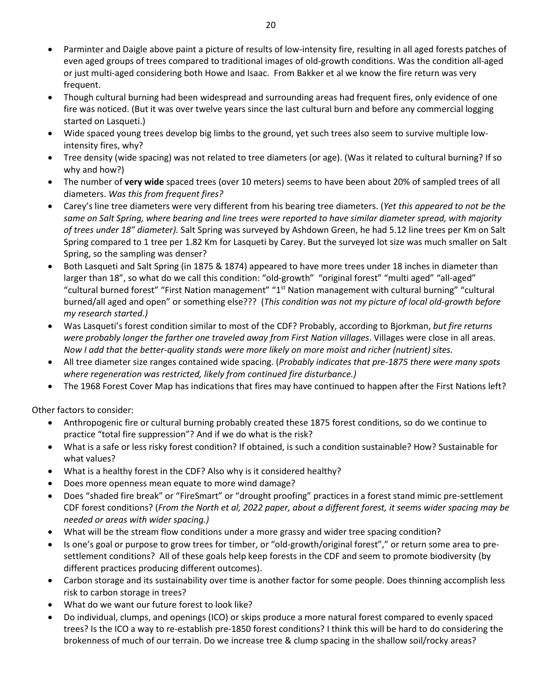- Parminter and Daigle above paint a picture of results of low-intensity fire, resulting in all aged forests patches of even aged groups of trees compared to traditional images of old-growth conditions. Was the condition all-aged or just multi-aged considering both Howe and Isaac. From Bakker et al we know the fire return was very frequent.
- Though cultural burning had been widespread and surrounding areas had frequent fires, only evidence of one fire was noticed. (But it was over twelve years since the last cultural burn and before any commercial logging started on Lasqueti.)
- Wide spaced young trees develop big limbs to the ground, yet such trees also seem to survive multiple lowintensity fires, why?
- Tree density (wide spacing) was not related to tree diameters (or age). (Was it related to cultural burning? If so why and how?)
- The number of **very wide** spaced trees (over 10 meters) seems to have been about 20% of sampled trees of all diameters. *Was this from frequent fires?*
- Carey's line tree diameters were very different from his bearing tree diameters. (*Yet this appeared to not be the same on Salt Spring, where bearing and line trees were reported to have similar diameter spread, with majority of trees under 18" diameter).* Salt Spring was surveyed by Ashdown Green, he had 5.12 line trees per Km on Salt Spring compared to 1 tree per 1.82 Km for Lasqueti by Carey. But the surveyed lot size was much smaller on Salt Spring, so the sampling was denser?
- Both Lasqueti and Salt Spring (in 1875 & 1874) appeared to have more trees under 18 inches in diameter than larger than 18", so what do we call this condition: "old-growth" "original forest" "multi aged" "all-aged" "cultural burned forest" "First Nation management" "1<sup>st</sup> Nation management with cultural burning" "cultural burned/all aged and open" or something else??? (*This condition was not my picture of local old-growth before my research started.)*
- Was Lasqueti's forest condition similar to most of the CDF? Probably, according to Bjorkman, *but fire returns were probably longer the farther one traveled away from First Nation villages*. Villages were close in all areas. *Now I add that the better-quality stands were more likely on more moist and richer (nutrient) sites.*
- All tree diameter size ranges contained wide spacing. (*Probably indicates that pre-1875 there were many spots where regeneration was restricted, likely from continued fire disturbance.)*
- The 1968 Forest Cover Map has indications that fires may have continued to happen after the First Nations left?

Other factors to consider:

- Anthropogenic fire or cultural burning probably created these 1875 forest conditions, so do we continue to practice "total fire suppression"? And if we do what is the risk?
- What is a safe or less risky forest condition? If obtained, is such a condition sustainable? How? Sustainable for what values?
- What is a healthy forest in the CDF? Also why is it considered healthy?
- Does more openness mean equate to more wind damage?
- Does "shaded fire break" or "FireSmart" or "drought proofing" practices in a forest stand mimic pre-settlement CDF forest conditions? (*From the North et al, 2022 paper, about a different forest, it seems wider spacing may be needed or areas with wider spacing.)*
- What will be the stream flow conditions under a more grassy and wider tree spacing condition?
- Is one's goal or purpose to grow trees for timber, or "old-growth/original forest"," or return some area to presettlement conditions? All of these goals help keep forests in the CDF and seem to promote biodiversity (by different practices producing different outcomes).
- Carbon storage and its sustainability over time is another factor for some people. Does thinning accomplish less risk to carbon storage in trees?
- What do we want our future forest to look like?
- Do individual, clumps, and openings (ICO) or skips produce a more natural forest compared to evenly spaced trees? Is the ICO a way to re-establish pre-1850 forest conditions? I think this will be hard to do considering the brokenness of much of our terrain. Do we increase tree & clump spacing in the shallow soil/rocky areas?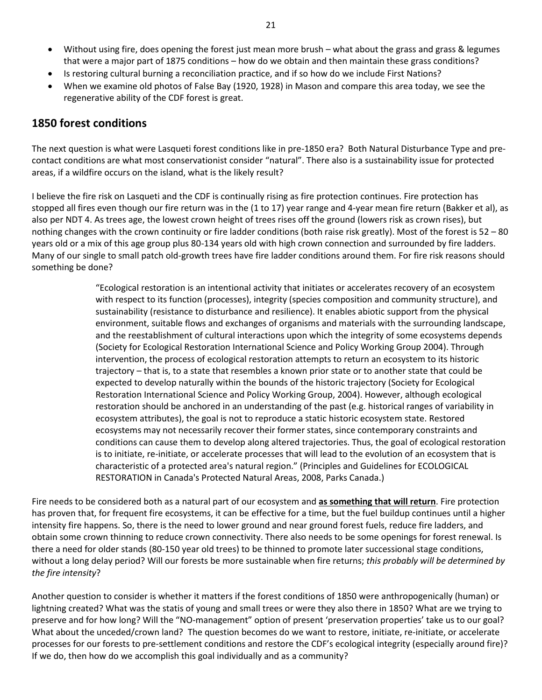- Without using fire, does opening the forest just mean more brush what about the grass and grass & legumes that were a major part of 1875 conditions – how do we obtain and then maintain these grass conditions?
- Is restoring cultural burning a reconciliation practice, and if so how do we include First Nations?
- When we examine old photos of False Bay (1920, 1928) in Mason and compare this area today, we see the regenerative ability of the CDF forest is great.

## **1850 forest conditions**

The next question is what were Lasqueti forest conditions like in pre-1850 era? Both Natural Disturbance Type and precontact conditions are what most conservationist consider "natural". There also is a sustainability issue for protected areas, if a wildfire occurs on the island, what is the likely result?

I believe the fire risk on Lasqueti and the CDF is continually rising as fire protection continues. Fire protection has stopped all fires even though our fire return was in the (1 to 17) year range and 4-year mean fire return (Bakker et al), as also per NDT 4. As trees age, the lowest crown height of trees rises off the ground (lowers risk as crown rises), but nothing changes with the crown continuity or fire ladder conditions (both raise risk greatly). Most of the forest is 52 – 80 years old or a mix of this age group plus 80-134 years old with high crown connection and surrounded by fire ladders. Many of our single to small patch old-growth trees have fire ladder conditions around them. For fire risk reasons should something be done?

> "Ecological restoration is an intentional activity that initiates or accelerates recovery of an ecosystem with respect to its function (processes), integrity (species composition and community structure), and sustainability (resistance to disturbance and resilience). It enables abiotic support from the physical environment, suitable flows and exchanges of organisms and materials with the surrounding landscape, and the reestablishment of cultural interactions upon which the integrity of some ecosystems depends (Society for Ecological Restoration International Science and Policy Working Group 2004). Through intervention, the process of ecological restoration attempts to return an ecosystem to its historic trajectory – that is, to a state that resembles a known prior state or to another state that could be expected to develop naturally within the bounds of the historic trajectory (Society for Ecological Restoration International Science and Policy Working Group, 2004). However, although ecological restoration should be anchored in an understanding of the past (e.g. historical ranges of variability in ecosystem attributes), the goal is not to reproduce a static historic ecosystem state. Restored ecosystems may not necessarily recover their former states, since contemporary constraints and conditions can cause them to develop along altered trajectories. Thus, the goal of ecological restoration is to initiate, re-initiate, or accelerate processes that will lead to the evolution of an ecosystem that is characteristic of a protected area's natural region." (Principles and Guidelines for ECOLOGICAL RESTORATION in Canada's Protected Natural Areas, 2008, Parks Canada.)

Fire needs to be considered both as a natural part of our ecosystem and **as something that will return**. Fire protection has proven that, for frequent fire ecosystems, it can be effective for a time, but the fuel buildup continues until a higher intensity fire happens. So, there is the need to lower ground and near ground forest fuels, reduce fire ladders, and obtain some crown thinning to reduce crown connectivity. There also needs to be some openings for forest renewal. Is there a need for older stands (80-150 year old trees) to be thinned to promote later successional stage conditions, without a long delay period? Will our forests be more sustainable when fire returns; *this probably will be determined by the fire intensity*?

Another question to consider is whether it matters if the forest conditions of 1850 were anthropogenically (human) or lightning created? What was the statis of young and small trees or were they also there in 1850? What are we trying to preserve and for how long? Will the "NO-management" option of present 'preservation properties' take us to our goal? What about the unceded/crown land? The question becomes do we want to restore, initiate, re-initiate, or accelerate processes for our forests to pre-settlement conditions and restore the CDF's ecological integrity (especially around fire)? If we do, then how do we accomplish this goal individually and as a community?